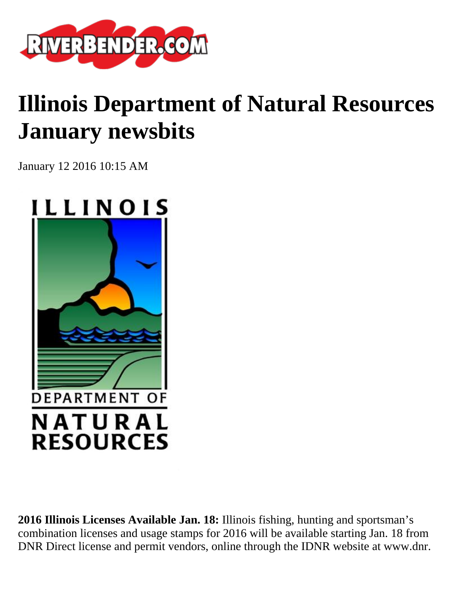

## **Illinois Department of Natural Resources January newsbits**

January 12 2016 10:15 AM



**2016 Illinois Licenses Available Jan. 18:** Illinois fishing, hunting and sportsman's combination licenses and usage stamps for 2016 will be available starting Jan. 18 from DNR Direct license and permit vendors, online through the IDNR website at www.dnr.